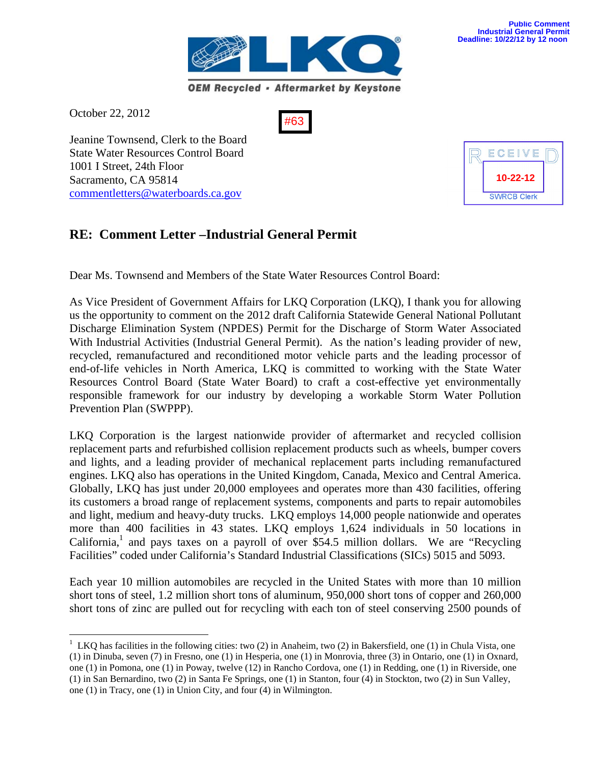

October 22, 2012

1

#63

Jeanine Townsend, Clerk to the Board State Water Resources Control Board 1001 I Street, 24th Floor Sacramento, CA 95814 commentletters@waterboards.ca.gov

# **RE: Comment Letter –Industrial General Permit**

Dear Ms. Townsend and Members of the State Water Resources Control Board:

As Vice President of Government Affairs for LKQ Corporation (LKQ), I thank you for allowing us the opportunity to comment on the 2012 draft California Statewide General National Pollutant Discharge Elimination System (NPDES) Permit for the Discharge of Storm Water Associated With Industrial Activities (Industrial General Permit). As the nation's leading provider of new, recycled, remanufactured and reconditioned motor vehicle parts and the leading processor of end-of-life vehicles in North America, LKQ is committed to working with the State Water Resources Control Board (State Water Board) to craft a cost-effective yet environmentally responsible framework for our industry by developing a workable Storm Water Pollution Prevention Plan (SWPPP).

LKQ Corporation is the largest nationwide provider of aftermarket and recycled collision replacement parts and refurbished collision replacement products such as wheels, bumper covers and lights, and a leading provider of mechanical replacement parts including remanufactured engines. LKQ also has operations in the United Kingdom, Canada, Mexico and Central America. Globally, LKQ has just under 20,000 employees and operates more than 430 facilities, offering its customers a broad range of replacement systems, components and parts to repair automobiles and light, medium and heavy-duty trucks. LKQ employs 14,000 people nationwide and operates more than 400 facilities in 43 states. LKQ employs 1,624 individuals in 50 locations in California,<sup>1</sup> and pays taxes on a payroll of over \$54.5 million dollars. We are "Recycling Facilities" coded under California's Standard Industrial Classifications (SICs) 5015 and 5093.

Each year 10 million automobiles are recycled in the United States with more than 10 million short tons of steel, 1.2 million short tons of aluminum, 950,000 short tons of copper and 260,000 short tons of zinc are pulled out for recycling with each ton of steel conserving 2500 pounds of



 $1$  LKQ has facilities in the following cities: two (2) in Anaheim, two (2) in Bakersfield, one (1) in Chula Vista, one (1) in Dinuba, seven (7) in Fresno, one (1) in Hesperia, one (1) in Monrovia, three (3) in Ontario, one (1) in Oxnard, one (1) in Pomona, one (1) in Poway, twelve (12) in Rancho Cordova, one (1) in Redding, one (1) in Riverside, one (1) in San Bernardino, two (2) in Santa Fe Springs, one (1) in Stanton, four (4) in Stockton, two (2) in Sun Valley, one (1) in Tracy, one (1) in Union City, and four (4) in Wilmington.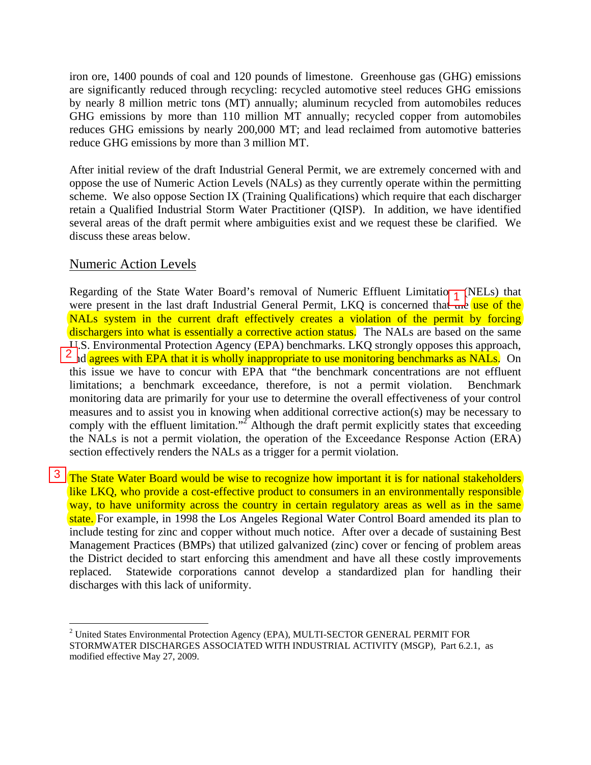iron ore, 1400 pounds of coal and 120 pounds of limestone. Greenhouse gas (GHG) emissions are significantly reduced through recycling: recycled automotive steel reduces GHG emissions by nearly 8 million metric tons (MT) annually; aluminum recycled from automobiles reduces GHG emissions by more than 110 million MT annually; recycled copper from automobiles reduces GHG emissions by nearly 200,000 MT; and lead reclaimed from automotive batteries reduce GHG emissions by more than 3 million MT.

After initial review of the draft Industrial General Permit, we are extremely concerned with and oppose the use of Numeric Action Levels (NALs) as they currently operate within the permitting scheme. We also oppose Section IX (Training Qualifications) which require that each discharger retain a Qualified Industrial Storm Water Practitioner (QISP). In addition, we have identified several areas of the draft permit where ambiguities exist and we request these be clarified. We discuss these areas below.

## Numeric Action Levels

 $\overline{a}$ 

Regarding of the State Water Board's removal of Numeric Effluent Limitation (NELs) that were present in the last draft Industrial General Permit, LKQ is concerned that the use of the NALs system in the current draft effectively creates a violation of the permit by forcing dischargers into what is essentially a corrective action status. The NALs are based on the same U.S. Environmental Protection Agency (EPA) benchmarks. LKQ strongly opposes this approach,  $\frac{2}{3}$  d agrees with EPA that it is wholly inappropriate to use monitoring benchmarks as NALs. On this issue we have to concur with EPA that "the benchmark concentrations are not effluent limitations; a benchmark exceedance, therefore, is not a permit violation. Benchmark monitoring data are primarily for your use to determine the overall effectiveness of your control measures and to assist you in knowing when additional corrective action(s) may be necessary to comply with the effluent limitation."<sup>2</sup> Although the draft permit explicitly states that exceeding the NALs is not a permit violation, the operation of the Exceedance Response Action (ERA) section effectively renders the NALs as a trigger for a permit violation. Regarding of the state water Board's Felhoval of Numeric Enfuent Limitatio<sub>1</sub><br>were present in the last draft Industrial General Permit, LKQ is concerned that-<br>**NALs** system in the current draft effectively creates a viola

<sup>3</sup> The State Water Board would be wise to recognize how important it is for national stakeholders like LKQ, who provide a cost-effective product to consumers in an environmentally responsible way, to have uniformity across the country in certain regulatory areas as well as in the same state. For example, in 1998 the Los Angeles Regional Water Control Board amended its plan to include testing for zinc and copper without much notice. After over a decade of sustaining Best Management Practices (BMPs) that utilized galvanized (zinc) cover or fencing of problem areas the District decided to start enforcing this amendment and have all these costly improvements replaced. Statewide corporations cannot develop a standardized plan for handling their discharges with this lack of uniformity.

 $2$  United States Environmental Protection Agency (EPA), MULTI-SECTOR GENERAL PERMIT FOR STORMWATER DISCHARGES ASSOCIATED WITH INDUSTRIAL ACTIVITY (MSGP), Part 6.2.1, as modified effective May 27, 2009.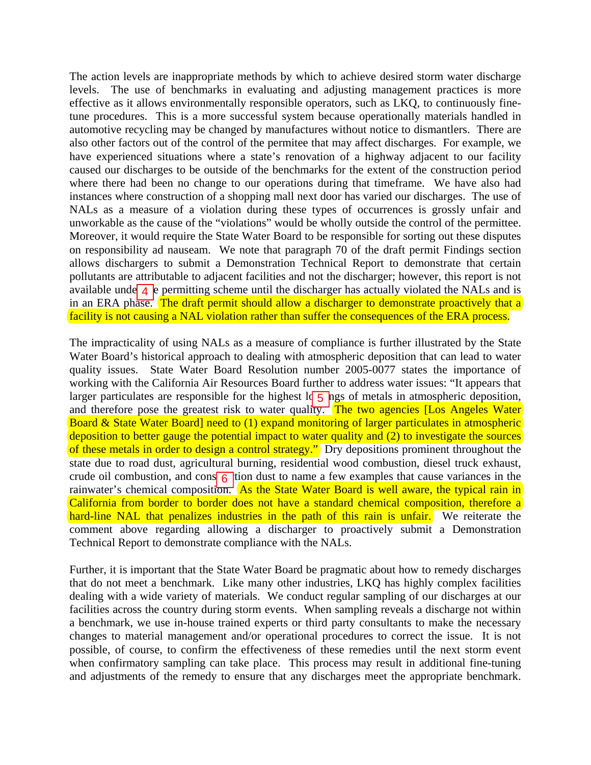The action levels are inappropriate methods by which to achieve desired storm water discharge levels. The use of benchmarks in evaluating and adjusting management practices is more effective as it allows environmentally responsible operators, such as LKQ, to continuously finetune procedures. This is a more successful system because operationally materials handled in automotive recycling may be changed by manufactures without notice to dismantlers. There are also other factors out of the control of the permitee that may affect discharges. For example, we have experienced situations where a state's renovation of a highway adjacent to our facility caused our discharges to be outside of the benchmarks for the extent of the construction period where there had been no change to our operations during that timeframe. We have also had instances where construction of a shopping mall next door has varied our discharges. The use of NALs as a measure of a violation during these types of occurrences is grossly unfair and unworkable as the cause of the "violations" would be wholly outside the control of the permittee. Moreover, it would require the State Water Board to be responsible for sorting out these disputes on responsibility ad nauseam. We note that paragraph 70 of the draft permit Findings section allows dischargers to submit a Demonstration Technical Report to demonstrate that certain pollutants are attributable to adjacent facilities and not the discharger; however, this report is not available under  $\frac{4}{5}$  permitting scheme until the discharger has actually violated the NALs and is in an ERA phase. The draft permit should allow a discharger to demonstrate proactively that a facility is not causing a NAL violation rather than suffer the consequences of the ERA process.

The impracticality of using NALs as a measure of compliance is further illustrated by the State Water Board's historical approach to dealing with atmospheric deposition that can lead to water quality issues. State Water Board Resolution number 2005-0077 states the importance of working with the California Air Resources Board further to address water issues: "It appears that larger particulates are responsible for the highest  $\log_5$  ngs of metals in atmospheric deposition, and therefore pose the greatest risk to water quality. The two agencies [Los Angeles Water] Board & State Water Board] need to (1) expand monitoring of larger particulates in atmospheric deposition to better gauge the potential impact to water quality and (2) to investigate the sources of these metals in order to design a control strategy." Dry depositions prominent throughout the state due to road dust, agricultural burning, residential wood combustion, diesel truck exhaust, crude oil combustion, and cons $\left| \frac{\partial u}{\partial t} \right|$  (tion dust to name a few examples that cause variances in the rainwater's chemical composition. As the State Water Board is well aware, the typical rain in California from border to border does not have a standard chemical composition, therefore a hard-line NAL that penalizes industries in the path of this rain is unfair. We reiterate the comment above regarding allowing a discharger to proactively submit a Demonstration Technical Report to demonstrate compliance with the NALs. 4 b permitting scheme until the discha<br>
ise. The draft permit should allow a di<br>
ausing a NAL violation rather than suffer<br>
lity of using NALs as a measure of con<br>
historical approach to dealing with atm<br>
State Water Boar

Further, it is important that the State Water Board be pragmatic about how to remedy discharges that do not meet a benchmark. Like many other industries, LKQ has highly complex facilities dealing with a wide variety of materials. We conduct regular sampling of our discharges at our facilities across the country during storm events. When sampling reveals a discharge not within a benchmark, we use in-house trained experts or third party consultants to make the necessary changes to material management and/or operational procedures to correct the issue. It is not possible, of course, to confirm the effectiveness of these remedies until the next storm event when confirmatory sampling can take place. This process may result in additional fine-tuning and adjustments of the remedy to ensure that any discharges meet the appropriate benchmark.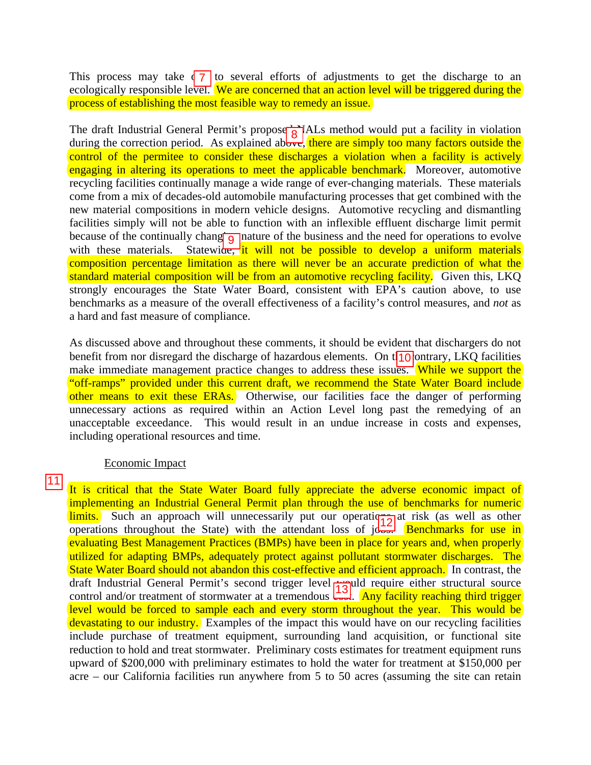This process may take  $\sqrt{7}$  to several efforts of adjustments to get the discharge to an ecologically responsible level. We are concerned that an action level will be triggered during the process of establishing the most feasible way to remedy an issue.

The draft Industrial General Permit's proposed  $\overrightarrow{g}$  ALs method would put a facility in violation during the correction period. As explained above, there are simply too many factors outside the control of the permitee to consider these discharges a violation when a facility is actively engaging in altering its operations to meet the applicable benchmark. Moreover, automotive recycling facilities continually manage a wide range of ever-changing materials. These materials come from a mix of decades-old automobile manufacturing processes that get combined with the new material compositions in modern vehicle designs. Automotive recycling and dismantling facilities simply will not be able to function with an inflexible effluent discharge limit permit because of the continually changing nature of the business and the need for operations to evolve with these materials. Statewide, it will not be possible to develop a uniform materials composition percentage limitation as there will never be an accurate prediction of what the standard material composition will be from an automotive recycling facility. Given this, LKQ strongly encourages the State Water Board, consistent with EPA's caution above, to use benchmarks as a measure of the overall effectiveness of a facility's control measures, and *not* as a hard and fast measure of compliance. This process may take  $4 \times 7$  to several efforts of adjustments to geologically responsible lever[ $\cdot$ We are concerned that an action level will process of establishing the most feasible way to remedy an issue.<br>The draft

As discussed above and throughout these comments, it should be evident that dischargers do not benefit from nor disregard the discharge of hazardous elements. On  $t_{10}$  ontrary, LKQ facilities make immediate management practice changes to address these issues. While we support the "off-ramps" provided under this current draft, we recommend the State Water Board include other means to exit these ERAs. Otherwise, our facilities face the danger of performing unnecessary actions as required within an Action Level long past the remedying of an unacceptable exceedance. This would result in an undue increase in costs and expenses, including operational resources and time.

#### Economic Impact

It is critical that the State Water Board fully appreciate the adverse economic impact of implementing an Industrial General Permit plan through the use of benchmarks for numeric  $\frac{limits.}{}$  Such an approach will unnecessarily put our operations at risk (as well as other operations throughout the State) with the attendant loss of  $j\overline{d}$ . Benchmarks for use in evaluating Best Management Practices (BMPs) have been in place for years and, when properly utilized for adapting BMPs, adequately protect against pollutant stormwater discharges. The State Water Board should not abandon this cost-effective and efficient approach. In contrast, the draft Industrial General Permit's second trigger level **would require either structural source** control and/or treatment of stormwater at a tremendous **control**. Any facility reaching third trigger level would be forced to sample each and every storm throughout the year. This would be devastating to our industry. Examples of the impact this would have on our recycling facilities include purchase of treatment equipment, surrounding land acquisition, or functional site reduction to hold and treat stormwater. Preliminary costs estimates for treatment equipment runs upward of \$200,000 with preliminary estimates to hold the water for treatment at \$150,000 per acre – our California facilities run anywhere from 5 to 50 acres (assuming the site can retain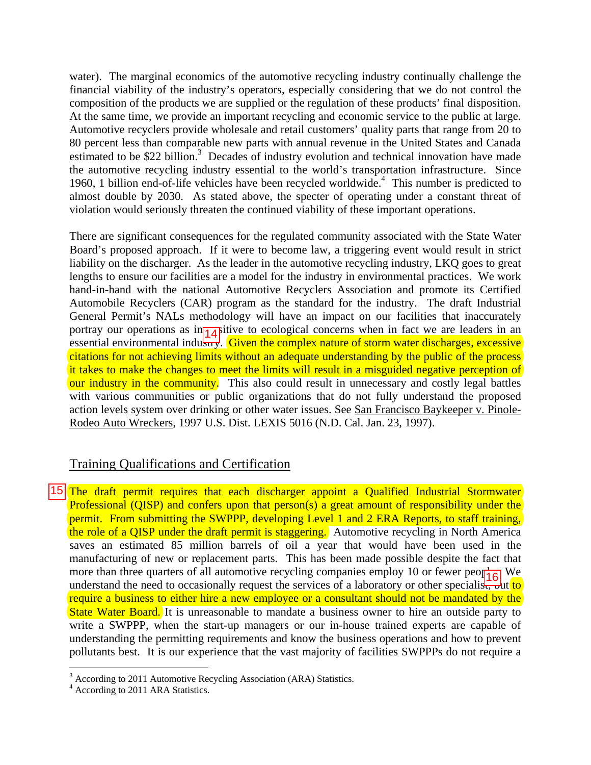water). The marginal economics of the automotive recycling industry continually challenge the financial viability of the industry's operators, especially considering that we do not control the composition of the products we are supplied or the regulation of these products' final disposition. At the same time, we provide an important recycling and economic service to the public at large. Automotive recyclers provide wholesale and retail customers' quality parts that range from 20 to 80 percent less than comparable new parts with annual revenue in the United States and Canada estimated to be \$22 billion.<sup>3</sup> Decades of industry evolution and technical innovation have made the automotive recycling industry essential to the world's transportation infrastructure. Since 1960, 1 billion end-of-life vehicles have been recycled worldwide.<sup>4</sup> This number is predicted to almost double by 2030. As stated above, the specter of operating under a constant threat of violation would seriously threaten the continued viability of these important operations.

There are significant consequences for the regulated community associated with the State Water Board's proposed approach. If it were to become law, a triggering event would result in strict liability on the discharger. As the leader in the automotive recycling industry, LKQ goes to great lengths to ensure our facilities are a model for the industry in environmental practices. We work hand-in-hand with the national Automotive Recyclers Association and promote its Certified Automobile Recyclers (CAR) program as the standard for the industry. The draft Industrial General Permit's NALs methodology will have an impact on our facilities that inaccurately portray our operations as in $\frac{1}{4}$ itive to ecological concerns when in fact we are leaders in an essential environmental industry. Given the complex nature of storm water discharges, excessive citations for not achieving limits without an adequate understanding by the public of the process it takes to make the changes to meet the limits will result in a misguided negative perception of our industry in the community. This also could result in unnecessary and costly legal battles with various communities or public organizations that do not fully understand the proposed action levels system over drinking or other water issues. See San Francisco Baykeeper v. Pinole-Rodeo Auto Wreckers, 1997 U.S. Dist. LEXIS 5016 (N.D. Cal. Jan. 23, 1997).

## Training Qualifications and Certification

15 The draft permit requires that each discharger appoint a Qualified Industrial Stormwater Professional (QISP) and confers upon that person(s) a great amount of responsibility under the permit. From submitting the SWPPP, developing Level 1 and 2 ERA Reports, to staff training, the role of a QISP under the draft permit is staggering. Automotive recycling in North America saves an estimated 85 million barrels of oil a year that would have been used in the manufacturing of new or replacement parts. This has been made possible despite the fact that more than three quarters of all automotive recycling companies employ 10 or fewer people. We understand the need to occasionally request the services of a laboratory or other specialisty but to require a business to either hire a new employee or a consultant should not be mandated by the State Water Board. It is unreasonable to mandate a business owner to hire an outside party to write a SWPPP, when the start-up managers or our in-house trained experts are capable of understanding the permitting requirements and know the business operations and how to prevent pollutants best. It is our experience that the vast majority of facilities SWPPPs do not require a portray our operations as m<sub>1</sub> d<sub>4</sub> huve to ecological concerns when in rate we reacests<br>essential environmental industry. Given the complex nature of storm water discharges, exce<br>citations for not achieving limits withou

 $\overline{a}$ 

<sup>&</sup>lt;sup>3</sup> According to 2011 Automotive Recycling Association (ARA) Statistics.

<sup>&</sup>lt;sup>4</sup> According to 2011 ARA Statistics.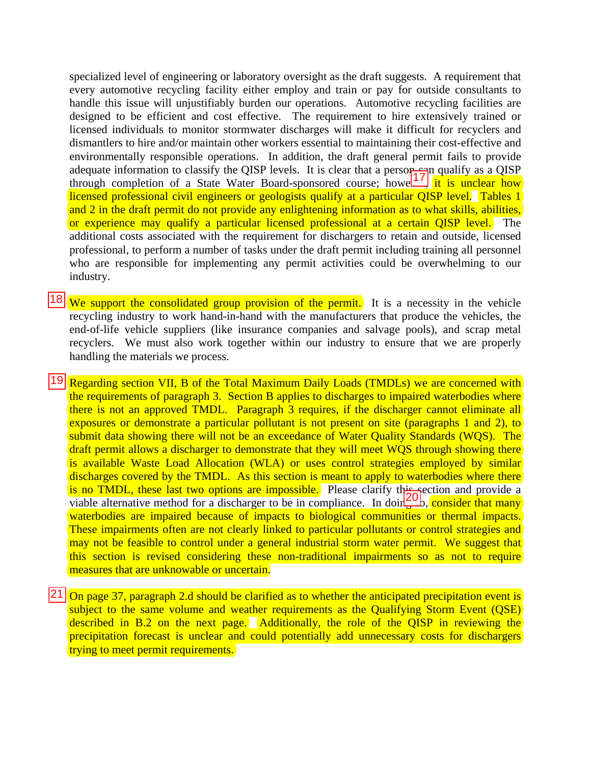specialized level of engineering or laboratory oversight as the draft suggests. A requirement that every automotive recycling facility either employ and train or pay for outside consultants to handle this issue will unjustifiably burden our operations. Automotive recycling facilities are designed to be efficient and cost effective. The requirement to hire extensively trained or licensed individuals to monitor stormwater discharges will make it difficult for recyclers and dismantlers to hire and/or maintain other workers essential to maintaining their cost-effective and environmentally responsible operations. In addition, the draft general permit fails to provide adequate information to classify the QISP levels. It is clear that a person- $\frac{1}{2}$ n qualify as a QISP through completion of a State Water Board-sponsored course; howe  $\frac{17}{11}$  it is unclear how licensed professional civil engineers or geologists qualify at a particular QISP level. Tables 1 and 2 in the draft permit do not provide any enlightening information as to what skills, abilities, or experience may qualify a particular licensed professional at a certain QISP level. The additional costs associated with the requirement for dischargers to retain and outside, licensed professional, to perform a number of tasks under the draft permit including training all personnel who are responsible for implementing any permit activities could be overwhelming to our industry.

**18** We support the consolidated group provision of the permit. It is a necessity in the vehicle recycling industry to work hand-in-hand with the manufacturers that produce the vehicles, the end-of-life vehicle suppliers (like insurance companies and salvage pools), and scrap metal recyclers. We must also work together within our industry to ensure that we are properly handling the materials we process.

 $|19|$  Regarding section VII, B of the Total Maximum Daily Loads (TMDLs) we are concerned with the requirements of paragraph 3. Section B applies to discharges to impaired waterbodies where there is not an approved TMDL. Paragraph 3 requires, if the discharger cannot eliminate all exposures or demonstrate a particular pollutant is not present on site (paragraphs 1 and 2), to submit data showing there will not be an exceedance of Water Quality Standards (WQS). The draft permit allows a discharger to demonstrate that they will meet WQS through showing there is available Waste Load Allocation (WLA) or uses control strategies employed by similar discharges covered by the TMDL. As this section is meant to apply to waterbodies where there is no TMDL, these last two options are impossible. Please clarify this section and provide a viable alternative method for a discharger to be in compliance. In doing b, consider that many waterbodies are impaired because of impacts to biological communities or thermal impacts. These impairments often are not clearly linked to particular pollutants or control strategies and may not be feasible to control under a general industrial storm water permit. We suggest that this section is revised considering these non-traditional impairments so as not to require measures that are unknowable or uncertain. along the constant of the Total Maximum Daily Loads (Thousand and the constant of the constrained properties and control and 2 in the draft permit do not provide any enlightening information as to or experience may qualify

 $21$  On page 37, paragraph 2.d should be clarified as to whether the anticipated precipitation event is subject to the same volume and weather requirements as the Qualifying Storm Event (QSE) described in B.2 on the next page. Additionally, the role of the QISP in reviewing the precipitation forecast is unclear and could potentially add unnecessary costs for dischargers trying to meet permit requirements.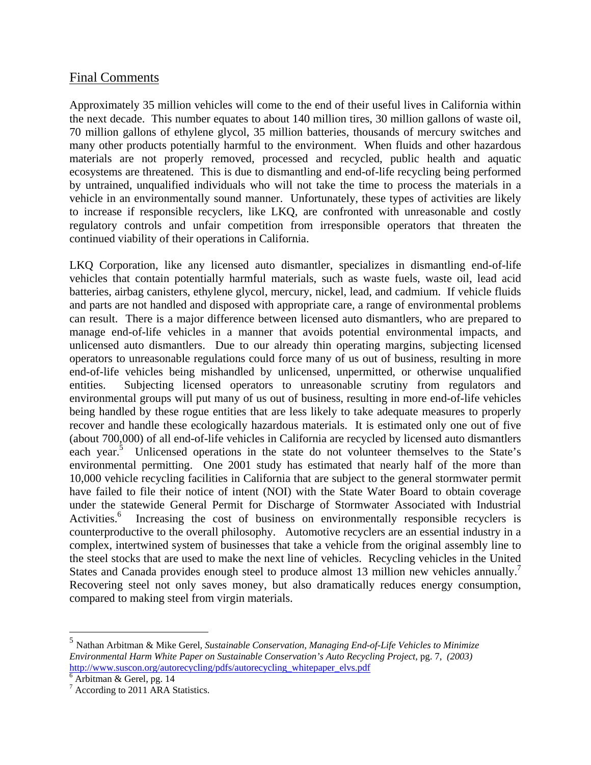### Final Comments

Approximately 35 million vehicles will come to the end of their useful lives in California within the next decade. This number equates to about 140 million tires, 30 million gallons of waste oil, 70 million gallons of ethylene glycol, 35 million batteries, thousands of mercury switches and many other products potentially harmful to the environment. When fluids and other hazardous materials are not properly removed, processed and recycled, public health and aquatic ecosystems are threatened. This is due to dismantling and end-of-life recycling being performed by untrained, unqualified individuals who will not take the time to process the materials in a vehicle in an environmentally sound manner. Unfortunately, these types of activities are likely to increase if responsible recyclers, like LKQ, are confronted with unreasonable and costly regulatory controls and unfair competition from irresponsible operators that threaten the continued viability of their operations in California.

LKQ Corporation, like any licensed auto dismantler, specializes in dismantling end-of-life vehicles that contain potentially harmful materials, such as waste fuels, waste oil, lead acid batteries, airbag canisters, ethylene glycol, mercury, nickel, lead, and cadmium. If vehicle fluids and parts are not handled and disposed with appropriate care, a range of environmental problems can result. There is a major difference between licensed auto dismantlers, who are prepared to manage end-of-life vehicles in a manner that avoids potential environmental impacts, and unlicensed auto dismantlers. Due to our already thin operating margins, subjecting licensed operators to unreasonable regulations could force many of us out of business, resulting in more end-of-life vehicles being mishandled by unlicensed, unpermitted, or otherwise unqualified entities. Subjecting licensed operators to unreasonable scrutiny from regulators and environmental groups will put many of us out of business, resulting in more end-of-life vehicles being handled by these rogue entities that are less likely to take adequate measures to properly recover and handle these ecologically hazardous materials. It is estimated only one out of five (about 700,000) of all end-of-life vehicles in California are recycled by licensed auto dismantlers each year.<sup>5</sup> Unlicensed operations in the state do not volunteer themselves to the State's environmental permitting. One 2001 study has estimated that nearly half of the more than 10,000 vehicle recycling facilities in California that are subject to the general stormwater permit have failed to file their notice of intent (NOI) with the State Water Board to obtain coverage under the statewide General Permit for Discharge of Stormwater Associated with Industrial Activities.<sup>6</sup> Increasing the cost of business on environmentally responsible recyclers is counterproductive to the overall philosophy. Automotive recyclers are an essential industry in a complex, intertwined system of businesses that take a vehicle from the original assembly line to the steel stocks that are used to make the next line of vehicles. Recycling vehicles in the United States and Canada provides enough steel to produce almost 13 million new vehicles annually.<sup>7</sup> Recovering steel not only saves money, but also dramatically reduces energy consumption, compared to making steel from virgin materials.

1

<sup>5</sup> Nathan Arbitman & Mike Gerel*, Sustainable Conservation, Managing End-of-Life Vehicles to Minimize Environmental Harm White Paper on Sustainable Conservation's Auto Recycling Project,* pg. 7, *(2003)* http://www.suscon.org/autorecycling/pdfs/autorecycling\_whitepaper\_elvs.pdf

 $\overline{6}$  Arbitman & Gerel, pg. 14

<sup>&</sup>lt;sup>7</sup> According to 2011 ARA Statistics.